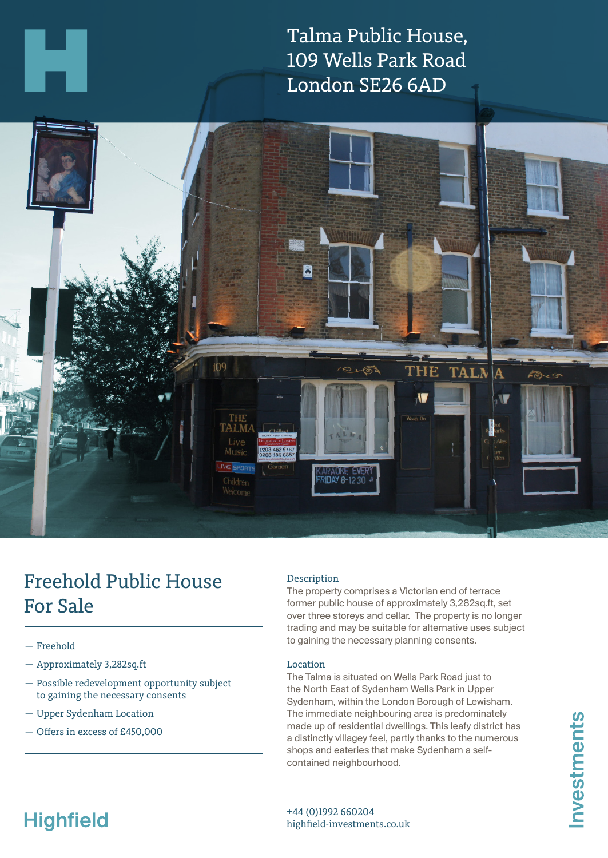Talma Public House, 109 Wells Park Road London SE26 6AD



# Freehold Public House For Sale

- Freehold
- Approximately 3,282sq.ft
- Possible redevelopment opportunity subject to gaining the necessary consents
- Upper Sydenham Location
- Offers in excess of £450,000

### Description

The property comprises a Victorian end of terrace former public house of approximately 3,282sq.ft, set over three storeys and cellar. The property is no longer trading and may be suitable for alternative uses subject to gaining the necessary planning consents.

#### Location

The Talma is situated on Wells Park Road just to the North East of Sydenham Wells Park in Upper Sydenham, within the London Borough of Lewisham. The immediate neighbouring area is predominately made up of residential dwellings. This leafy district has a distinctly villagey feel, partly thanks to the numerous shops and eateries that make Sydenham a selfcontained neighbourhood.

# **Highfield**

+44 (0)1992 660204 highfield-investments.co.uk